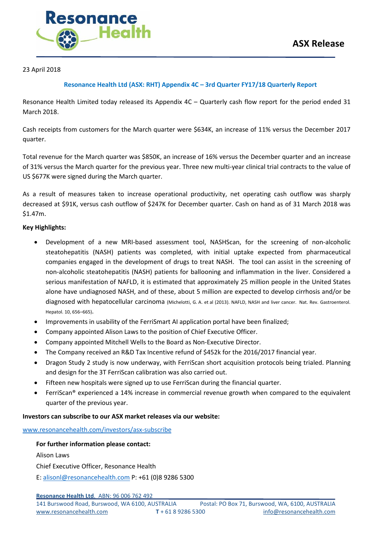

### 23 April 2018

### **Resonance Health Ltd (ASX: RHT) Appendix 4C – 3rd Quarter FY17/18 Quarterly Report**

Resonance Health Limited today released its Appendix 4C – Quarterly cash flow report for the period ended 31 March 2018.

Cash receipts from customers for the March quarter were \$634K, an increase of 11% versus the December 2017 quarter.

Total revenue for the March quarter was \$850K, an increase of 16% versus the December quarter and an increase of 31% versus the March quarter for the previous year. Three new multi-year clinical trial contracts to the value of US \$677K were signed during the March quarter.

As a result of measures taken to increase operational productivity, net operating cash outflow was sharply decreased at \$91K, versus cash outflow of \$247K for December quarter. Cash on hand as of 31 March 2018 was \$1.47m.

#### **Key Highlights:**

- Development of a new MRI-based assessment tool, NASHScan, for the screening of non-alcoholic steatohepatitis (NASH) patients was completed, with initial uptake expected from pharmaceutical companies engaged in the development of drugs to treat NASH. The tool can assist in the screening of non-alcoholic steatohepatitis (NASH) patients for ballooning and inflammation in the liver. Considered a serious manifestation of NAFLD, it is estimated that approximately 25 million people in the United States alone have undiagnosed NASH, and of these, about 5 million are expected to develop cirrhosis and/or be diagnosed with hepatocellular carcinoma (Michelotti, G. A. et al (2013). NAFLD, NASH and liver cancer. Nat. Rev. Gastroenterol. Hepatol. 10, 656–665).
- Improvements in usability of the FerriSmart AI application portal have been finalized;
- Company appointed Alison Laws to the position of Chief Executive Officer.
- Company appointed Mitchell Wells to the Board as Non-Executive Director.
- The Company received an R&D Tax Incentive refund of \$452k for the 2016/2017 financial year.
- Dragon Study 2 study is now underway, with FerriScan short acquisition protocols being trialed. Planning and design for the 3T FerriScan calibration was also carried out.
- Fifteen new hospitals were signed up to use FerriScan during the financial quarter.
- FerriScan® experienced a 14% increase in commercial revenue growth when compared to the equivalent quarter of the previous year.

### **Investors can subscribe to our ASX market releases via our website:**

[www.resonancehealth.com/investors/asx-subscribe](http://www.resonancehealth.com/investors/asx-subscribe)

**For further information please contact:** Alison Laws Chief Executive Officer, Resonance Health

E: [alisonl@resonancehealth.com](mailto:alisonl@resonancehealth.com) P: +61 (0)8 9286 5300

**Resonance Health Ltd**. ABN: 96 006 762 492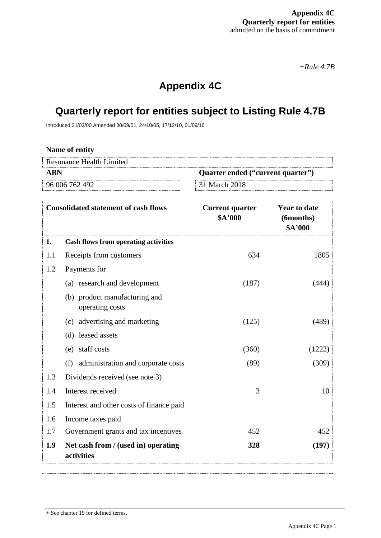*+Rule 4.7B*

# **Appendix 4C**

# **Quarterly report for entities subject to Listing Rule 4.7B**

Introduced 31/03/00 Amended 30/09/01, 24/10/05, 17/12/10, 01/09/16

**Name of entity**

| Resonance Health Limited |                                   |
|--------------------------|-----------------------------------|
| <b>ABN</b>               | Quarter ended ("current quarter") |
| 96 006 762 492           | 31 March 2018                     |

|     | <b>Consolidated statement of cash flows</b>       | <b>Current quarter</b><br>\$A'000 | <b>Year to date</b><br>(6months)<br>\$A'000 |
|-----|---------------------------------------------------|-----------------------------------|---------------------------------------------|
| 1.  | <b>Cash flows from operating activities</b>       |                                   |                                             |
| 1.1 | Receipts from customers                           | 634                               | 1805                                        |
| 1.2 | Payments for                                      |                                   |                                             |
|     | (a) research and development                      | (187)                             | (444)                                       |
|     | (b) product manufacturing and<br>operating costs  |                                   |                                             |
|     | (c) advertising and marketing                     | (125)                             | (489)                                       |
|     | (d) leased assets                                 |                                   |                                             |
|     | (e) staff costs                                   | (360)                             | (1222)                                      |
|     | administration and corporate costs<br>(f)         | (89)                              | (309)                                       |
| 1.3 | Dividends received (see note 3)                   |                                   |                                             |
| 1.4 | Interest received                                 | 3                                 | 10                                          |
| 1.5 | Interest and other costs of finance paid          |                                   |                                             |
| 1.6 | Income taxes paid                                 |                                   |                                             |
| 1.7 | Government grants and tax incentives              | 452                               | 452                                         |
| 1.9 | Net cash from / (used in) operating<br>activities | 328                               | (197)                                       |

<sup>+</sup> See chapter 19 for defined terms.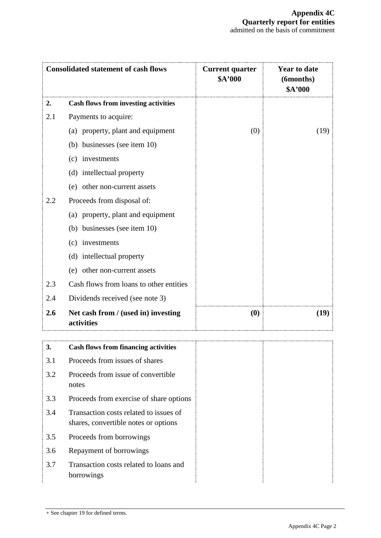|     | <b>Consolidated statement of cash flows</b>                                    | <b>Current quarter</b><br>\$A'000 | <b>Year to date</b><br>(6months)<br>\$A'000 |
|-----|--------------------------------------------------------------------------------|-----------------------------------|---------------------------------------------|
| 2.  | <b>Cash flows from investing activities</b>                                    |                                   |                                             |
| 2.1 | Payments to acquire:                                                           |                                   |                                             |
|     | (a) property, plant and equipment                                              | (0)                               | (19)                                        |
|     | (b) businesses (see item 10)                                                   |                                   |                                             |
|     | (c) investments                                                                |                                   |                                             |
|     | (d) intellectual property                                                      |                                   |                                             |
|     | (e) other non-current assets                                                   |                                   |                                             |
| 2.2 | Proceeds from disposal of:                                                     |                                   |                                             |
|     | (a) property, plant and equipment                                              |                                   |                                             |
|     | (b) businesses (see item 10)                                                   |                                   |                                             |
|     | (c) investments                                                                |                                   |                                             |
|     | (d) intellectual property                                                      |                                   |                                             |
|     | (e) other non-current assets                                                   |                                   |                                             |
| 2.3 | Cash flows from loans to other entities                                        |                                   |                                             |
| 2.4 | Dividends received (see note 3)                                                |                                   |                                             |
| 2.6 | Net cash from / (used in) investing<br>activities                              | (0)                               | (19)                                        |
| J.  | <b>Cash flows from financing activities</b>                                    |                                   |                                             |
| 3.1 | Proceeds from issues of shares                                                 |                                   |                                             |
| 3.2 | Proceeds from issue of convertible<br>notes                                    |                                   |                                             |
| 3.3 | Proceeds from exercise of share options                                        |                                   |                                             |
| 3.4 | Transaction costs related to issues of<br>shares, convertible notes or options |                                   |                                             |
| 3.5 | Proceeds from borrowings                                                       |                                   |                                             |

- 3.6 Repayment of borrowings
- 3.7 Transaction costs related to loans and borrowings

<sup>+</sup> See chapter 19 for defined terms.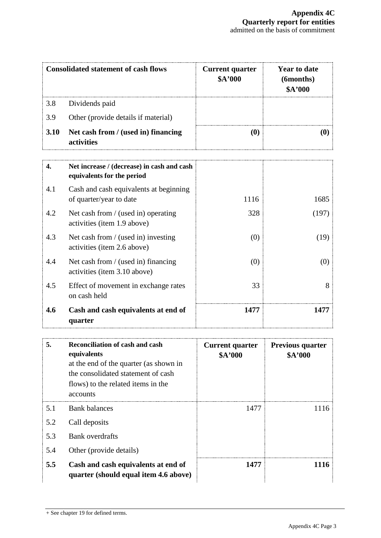| <b>Consolidated statement of cash flows</b> |                                                                          | <b>Current quarter</b><br>\$A'000 | <b>Year to date</b><br>(6months)<br>\$A'000 |
|---------------------------------------------|--------------------------------------------------------------------------|-----------------------------------|---------------------------------------------|
| 3.8                                         | Dividends paid                                                           |                                   |                                             |
| 3.9                                         | Other (provide details if material)                                      |                                   |                                             |
| 3.10                                        | Net cash from / (used in) financing<br>activities                        | (0)                               | $\boldsymbol{\left(0\right)}$               |
| 4.                                          | Net increase / (decrease) in cash and cash<br>equivalents for the period |                                   |                                             |
| 4.1                                         | Cash and cash equivalents at beginning<br>of quarter/year to date        | 1116                              | 1685                                        |
| 4.2                                         | Net cash from / (used in) operating<br>activities (item 1.9 above)       | 328                               | (197)                                       |
| 4.3                                         | Net cash from / (used in) investing<br>activities (item 2.6 above)       | (0)                               | (19)                                        |
| 4.4                                         | Net cash from / (used in) financing<br>activities (item 3.10 above)      | (0)                               | (0)                                         |
| 4.5                                         | Effect of movement in exchange rates<br>on cash held                     | 33                                | 8                                           |
| 4.6                                         | Cash and cash equivalents at end of<br>quarter                           | 1477                              | 1477                                        |

| 5.  | Reconciliation of cash and cash<br>equivalents<br>at the end of the quarter (as shown in<br>the consolidated statement of cash<br>flows) to the related items in the<br>accounts | <b>Current quarter</b><br>\$A'000 | <b>Previous quarter</b><br>\$A'000 |
|-----|----------------------------------------------------------------------------------------------------------------------------------------------------------------------------------|-----------------------------------|------------------------------------|
| 5.1 | <b>Bank balances</b>                                                                                                                                                             | 1477                              | 1116                               |
| 5.2 | Call deposits                                                                                                                                                                    |                                   |                                    |
| 5.3 | Bank overdrafts                                                                                                                                                                  |                                   |                                    |
| 5.4 | Other (provide details)                                                                                                                                                          |                                   |                                    |
| 5.5 | Cash and cash equivalents at end of<br>quarter (should equal item 4.6 above)                                                                                                     | 1477                              | 1116                               |

<sup>+</sup> See chapter 19 for defined terms.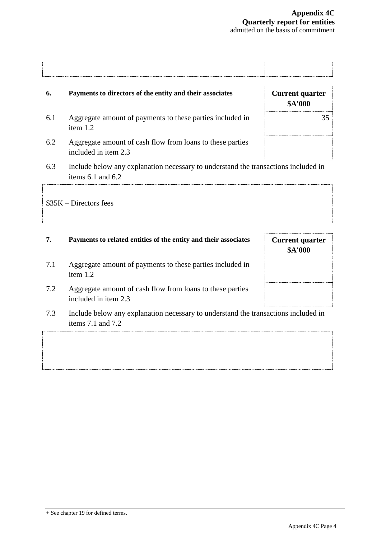# **6. Payments to directors of the entity and their associates Current quarter** 6.1 Aggregate amount of payments to these parties included in item 1.2 6.2 Aggregate amount of cash flow from loans to these parties included in item 2.3

6.3 Include below any explanation necessary to understand the transactions included in items 6.1 and 6.2

\$35K – Directors fees

## **7. Payments to related entities of the entity and their associates <b>Current quarter**

- 7.1 Aggregate amount of payments to these parties included in item 1.2
- 7.2 Aggregate amount of cash flow from loans to these parties included in item 2.3
- 7.3 Include below any explanation necessary to understand the transactions included in items 7.1 and 7.2

**\$A'000**

**\$A'000** 35

+ See chapter 19 for defined terms.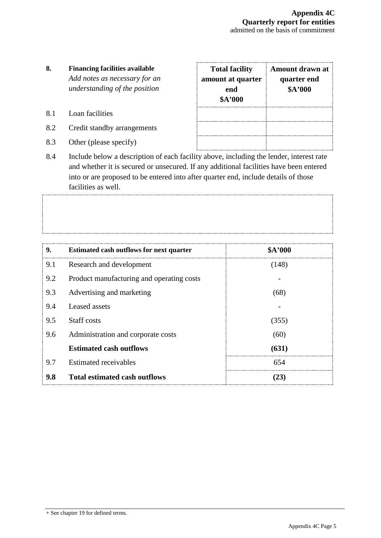## **8. Financing facilities available** *Add notes as necessary for an understanding of the position*

- 8.1 Loan facilities
- 8.2 Credit standby arrangements
- 8.3 Other (please specify)

| <b>Total facility</b><br>amount at quarter<br>end<br>\$A'000 | Amount drawn at<br>quarter end<br>\$A'000 |
|--------------------------------------------------------------|-------------------------------------------|
|                                                              |                                           |

8.4 Include below a description of each facility above, including the lender, interest rate and whether it is secured or unsecured. If any additional facilities have been entered into or are proposed to be entered into after quarter end, include details of those facilities as well.

| 9.  | <b>Estimated cash outflows for next quarter</b> | \$A'000 |
|-----|-------------------------------------------------|---------|
| 9.1 | Research and development                        | (148)   |
| 9.2 | Product manufacturing and operating costs       |         |
| 9.3 | Advertising and marketing                       | (68)    |
| 9.4 | Leased assets                                   |         |
| 9.5 | Staff costs                                     | (355)   |
| 9.6 | Administration and corporate costs              | (60)    |
|     | <b>Estimated cash outflows</b>                  | (631)   |
| 9.7 | <b>Estimated receivables</b>                    | 654     |
| 9.8 | <b>Total estimated cash outflows</b>            |         |